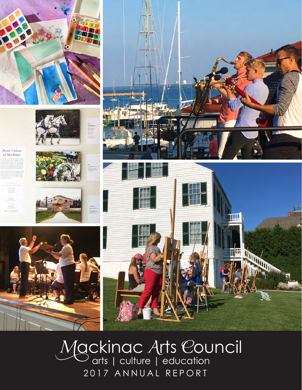

















2017 ANNUAL REPORT *M*ackinac *A*rts *C*ouncil arts | culture | education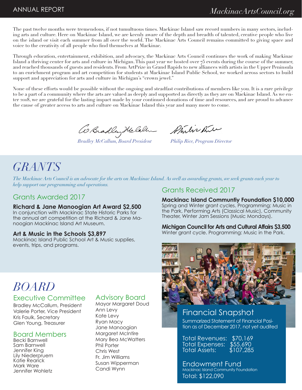The past twelve months were tremendous, if not tumultuous times. Mackinac Island saw record numbers in many sectors, including arts and culture. Here on Mackinac Island, we are keenly aware of the depth and breadth of talented, creative people who live on the island or visit each summer from all over the world. The Mackinac Arts Council remains committed to giving space and voice to the creativity of all people who find themselves at Mackinac.

Through education, entertainment, exhibition, and advocacy, the Mackinac Arts Council continues the work of making Mackinac Island a thriving center for arts and culture in Michigan. This past year we hosted over 75 events during the course of the summer, and reached thousands of guests and residents. From ArtPrize in Grand Rapids to new alliances with artists in the Upper Peninsula to an enrichment program and art competition for students at Mackinac Island Public School, we worked across sectors to build support and appreciation for arts and culture in Michigan's "crown jewel."

None of these efforts would be possible without the ongoing and steadfast contributions of members like you. It is a rare privilege to be a part of a community where the arts are valued as deeply and supported as directly as they are on Mackinac Island. As we enter 2018, we are grateful for the lasting impact made by your continued donations of time and resources, and are proud to advance the cause of greater access to arts and culture on Mackinac Island this year and many more to come.

*Philip Rice, Program Director Bradley McCallum, Board President*

# *GRANTS*

*The Mackinac Arts Council is an advocate for the arts on Mackinac Island. As well as awarding grants, we seek grants each year to help support our programming and operations.* 

#### Grants Awarded 2017

#### **Richard & Jane Manoogian Art Award \$2,500**

In conjunction with Mackinac State Historic Parks for the annual art competition at the Richard & Jane Manoogian Mackinac Island Art Museum.

#### **Art & Music in the Schools \$3,897**

Mackinac Island Public School Art & Music supplies, events, trips, and programs.

#### Grants Received 2017

**Mackinac Island Communtiy Foundation \$10,000** Spring and Winter grant cycles. Programming: Music in the Park, Performing Arts (Classical Music), Community Theater, Winter Jam Sessions (Music Mondays).

**Michigan Council for Arts and Cultural Affairs \$3,500** Winter grant cycle. Programming: Music in the Park.



# *BOARD* Executive Committee

Bradley McCallum, President Valerie Porter, Vice President Kris Faulk, Secretary Glen Young, Treasurer

#### Board Members

Becki Barnwell Sam Barnwell Jennifer King Lily Niederpruem Katie Rearick Mark Ware Jennifer Wohletz

### Advisory Board

Mayor Margaret Doud Ann Levy Kate Levy Ryan Macy Jane Manoogian Margaret McIntire Mary Bea McWatters Phil Porter Chris West Fr. Jim Williams Susan Wipperman Candi Wynn

Financial Snapshot Summarized Statement of Financial Position as of December 2017, not yet audited

Total Revenues: \$70,169 Total Expenses: \$55,690 Total Assets: \$107,285

Endowment Fund Mackinac Island Community Foundation Total: \$122,090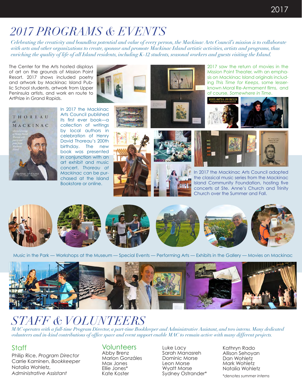# *2017 PROGRAMS & EVENTS*

*Celebrating the creativity and boundless potential and value of every person, the Mackinac Arts Council's mission is to collaborate with arts and other organizations to create, sponsor and promote Mackinac Island artistic activities, artists and programs, thus enriching the quality of life of all Island residents, including K-12 students, seasonal workers and guests visiting the Island.*

The Center for the Arts hosted displays of art on the grounds of Mission Point Resort. 2017 shows included poetry and artwork by Mackinac Island Public School students, artwork from Upper Peninsula artists, and work en route to ArtPrize in Grand Rapids.





2017 saw the return of movies in the Mission Point Theater, with an emphasis on Mackinac Island originals including *This Time for Keeps*, some lesserknown Moral Re-Armament films, and of course, *Somewhere in Time*.



In 2017 the Mackinac Arts Council published its first ever book—a collection of writings by local authors in celebration of Henry David Thoreau's 200th birthday. The new book was presented in conjunction with an art exhibit and music concert. *Thoreau at Mackinac* can be purchased at the Island Bookstore or online.







In 2017 the Mackinac Arts Council adopted the classical music series from the Mackinac Island Community Foundation, hosting five concerts at Ste. Anne's Church and Trinity Church over the Summer and Fall.



Music in the Park — Workshops at the Museum — Special Events — Performing Arts — Exhibits in the Gallery — Movies on Mackinac



# *STAFF & VOLUNTEERS*

*MAC operates with a full-time Program Director, a part-time Bookkeeper and Administrative Assistant, and two interns. Many dedicated volunteers and in-kind contributions of office space and event support enable MAC to remain active with many different projects.*

### **Staff**

Philip Rice, *Program Director* Carrie Kaminen, *Bookkeeper* Natalia Wohletz, *Administrative Assistant*

## **Volunteers**

Abby Brenz Marlon Gonzáles Max Jones Ellie Jones\* Kate Koster

Luke Lacy Sarah Manasreh Dominic Morse Leon Morse Wyatt Morse Sydney Ostrander\* Kathryn Rado Allison Sehoyan Dan Wohletz Mark Wohletz Natalia Wohletz

*\*denotes summer interns*